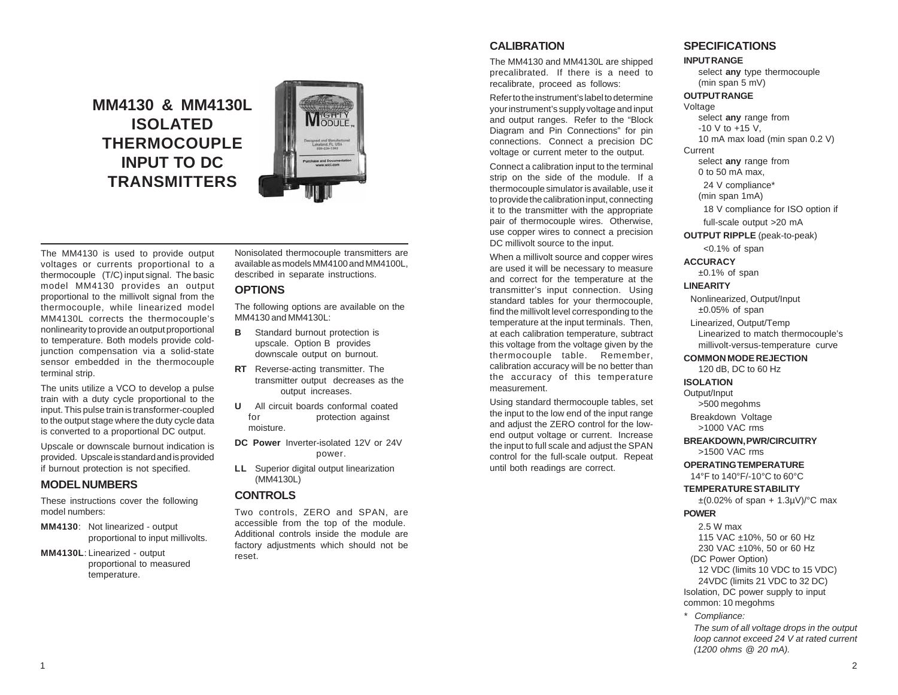# **MM4130 & MM4130L ISOLATED THERMOCOUPLE INPUT TO DC TRANSMITTERS**



The MM4130 is used to provide output voltages or currents proportional to a thermocouple (T/C) input signal. The basic model MM4130 provides an output proportional to the millivolt signal from the thermocouple, while linearized model MM4130L corrects the thermocouple's nonlinearity to provide an output proportional to temperature. Both models provide coldjunction compensation via a solid-state sensor embedded in the thermocouple terminal strip.

The units utilize a VCO to develop a pulse train with a duty cycle proportional to the input. This pulse train is transformer-coupled to the output stage where the duty cycle data is converted to a proportional DC output.

Upscale or downscale burnout indication is provided. Upscale is standard and is provided if burnout protection is not specified.

## **MODEL NUMBERS**

These instructions cover the following model numbers:

**MM4130**: Not linearized - output proportional to input millivolts.

#### **MM4130L**: Linearized - output proportional to measured temperature.

Nonisolated thermocouple transmitters are available as models MM4100 and MM4100L, described in separate instructions.

### **OPTIONS**

The following options are available on the MM4130 and MM4130L:

- **B** Standard burnout protection is upscale. Option B provides downscale output on burnout.
- **RT** Reverse-acting transmitter. The transmitter output decreases as the output increases.
- **U** All circuit boards conformal coated for protection against moisture.
- **DC Power** Inverter-isolated 12V or 24V power.
- **LL** Superior digital output linearization (MM4130L)

### **CONTROLS**

Two controls, ZERO and SPAN, are accessible from the top of the module. Additional controls inside the module are factory adjustments which should not be reset.

# **CALIBRATION**

The MM4130 and MM4130L are shipped precalibrated. If there is a need to recalibrate, proceed as follows:

Refer to the instrument's label to determine your instrument's supply voltage and input and output ranges. Refer to the "Block Diagram and Pin Connections" for pin connections. Connect a precision DC voltage or current meter to the output.

Connect a calibration input to the terminal strip on the side of the module. If a thermocouple simulator is available, use it to provide the calibration input, connecting it to the transmitter with the appropriate pair of thermocouple wires. Otherwise, use copper wires to connect a precision DC millivolt source to the input.

When a millivolt source and copper wires are used it will be necessary to measure and correct for the temperature at the transmitter's input connection. Using standard tables for your thermocouple, find the millivolt level corresponding to the temperature at the input terminals. Then, at each calibration temperature, subtract this voltage from the voltage given by the thermocouple table. Remember, calibration accuracy will be no better than the accuracy of this temperature measurement.

Using standard thermocouple tables, set the input to the low end of the input range and adjust the ZERO control for the lowend output voltage or current. Increase the input to full scale and adjust the SPAN control for the full-scale output. Repeat until both readings are correct.

# **SPECIFICATIONS**

#### **INPUT RANGE**

select **any** type thermocouple (min span 5 mV)

### **OUTPUT RANGE**

Voltage select **any** range from -10 V to +15 V, 10 mA max load (min span 0.2 V) Current select **any** range from 0 to 50 mA max, 24 V compliance\* (min span 1mA) 18 V compliance for ISO option if full-scale output >20 mA **OUTPUT RIPPLE** (peak-to-peak) <0.1% of span **ACCURACY** ±0.1% of span **LINEARITY** Nonlinearized, Output/Input  $±0.05%$  of span Linearized, Output/Temp Linearized to match thermocouple's millivolt-versus-temperature curve **COMMON MODE REJECTION** 120 dB, DC to 60 Hz

### **ISOLATION**

Output/Input >500 megohms

> Breakdown Voltage >1000 VAC rms

**BREAKDOWN, PWR/CIRCUITRY** >1500 VAC rms

**OPERATING TEMPERATURE** 14°F to 140°F/-10°C to 60°C

**TEMPERATURE STABILITY**

 $\pm (0.02\% \text{ of span } + 1.3 \mu\text{V})^{\circ} \text{C}$  max

### **POWER**

2.5 W max 115 VAC ±10%, 50 or 60 Hz 230 VAC ±10%, 50 or 60 Hz (DC Power Option) 12 VDC (limits 10 VDC to 15 VDC) 24VDC (limits 21 VDC to 32 DC) Isolation, DC power supply to input common: 10 megohms

*\* Compliance:*

*The sum of all voltage drops in the output loop cannot exceed 24 V at rated current (1200 ohms @ 20 mA).*